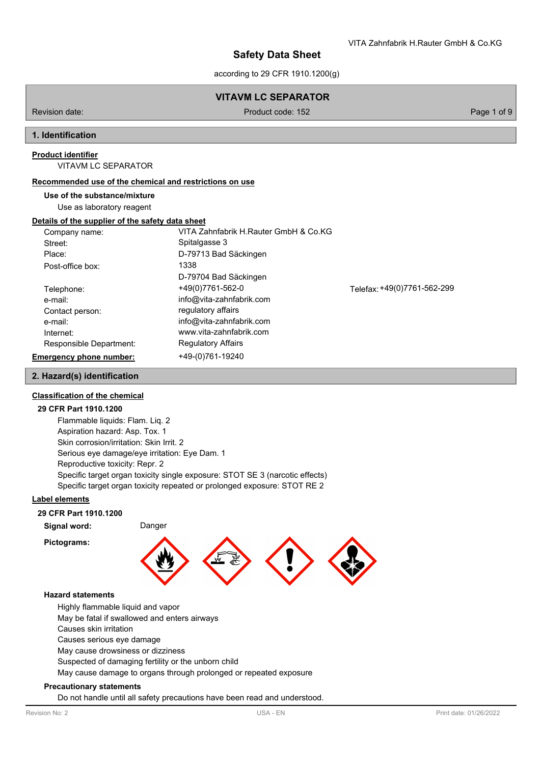according to 29 CFR 1910.1200(g)

# **VITAVM LC SEPARATOR**

Revision date: Product code: 152 Page 1 of 9

### **1. Identification**

#### **Product identifier**

VITAVM LC SEPARATOR

#### **Recommended use of the chemical and restrictions on use**

**Use of the substance/mixture**

Use as laboratory reagent

#### **Details of the supplier of the safety data sheet**

| Company name:           | VITA Zahnfabrik H.Rauter GmbH & Co.KG |                             |
|-------------------------|---------------------------------------|-----------------------------|
| Street:                 | Spitalgasse 3                         |                             |
| Place:                  | D-79713 Bad Säckingen                 |                             |
| Post-office box:        | 1338                                  |                             |
|                         | D-79704 Bad Säckingen                 |                             |
| Telephone:              | +49(0)7761-562-0                      | Telefax: +49(0)7761-562-299 |
| e-mail:                 | info@vita-zahnfabrik.com              |                             |
| Contact person:         | regulatory affairs                    |                             |
| e-mail:                 | info@vita-zahnfabrik.com              |                             |
| Internet:               | www.vita-zahnfabrik.com               |                             |
| Responsible Department: | <b>Regulatory Affairs</b>             |                             |
| Emergency phone number: | +49-(0)761-19240                      |                             |

# **2. Hazard(s) identification**

#### **Classification of the chemical**

#### **29 CFR Part 1910.1200**

Flammable liquids: Flam. Liq. 2 Aspiration hazard: Asp. Tox. 1 Skin corrosion/irritation: Skin Irrit. 2 Serious eye damage/eye irritation: Eye Dam. 1 Reproductive toxicity: Repr. 2 Specific target organ toxicity single exposure: STOT SE 3 (narcotic effects) Specific target organ toxicity repeated or prolonged exposure: STOT RE 2

#### **Label elements**

#### **29 CFR Part 1910.1200**

**Signal word:** Danger

**Pictograms:**



#### **Hazard statements**

Highly flammable liquid and vapor

May be fatal if swallowed and enters airways

Causes skin irritation

Causes serious eye damage

May cause drowsiness or dizziness

Suspected of damaging fertility or the unborn child

May cause damage to organs through prolonged or repeated exposure

#### **Precautionary statements**

Do not handle until all safety precautions have been read and understood.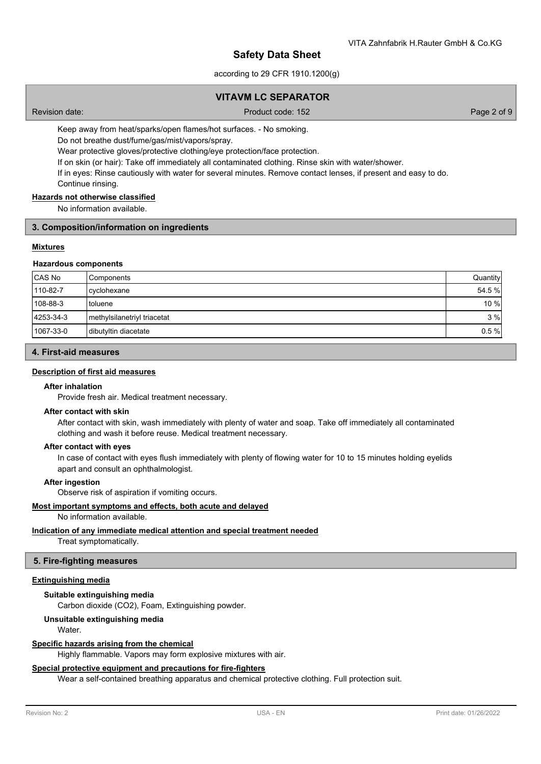according to 29 CFR 1910.1200(g)

### **VITAVM LC SEPARATOR**

Revision date: Product code: 152 Page 2 of 9

Keep away from heat/sparks/open flames/hot surfaces. - No smoking.

Do not breathe dust/fume/gas/mist/vapors/spray.

Wear protective gloves/protective clothing/eye protection/face protection.

If on skin (or hair): Take off immediately all contaminated clothing. Rinse skin with water/shower.

If in eyes: Rinse cautiously with water for several minutes. Remove contact lenses, if present and easy to do.

Continue rinsing.

### **Hazards not otherwise classified**

No information available.

#### **3. Composition/information on ingredients**

#### **Mixtures**

#### **Hazardous components**

| <b>CAS No</b> | ⊦Components                 | Quantity |
|---------------|-----------------------------|----------|
| 110-82-7      | cyclohexane                 | 54.5 %   |
| 108-88-3      | Itoluene                    | 10 %     |
| 4253-34-3     | methylsilanetriyl triacetat | 3%       |
| 1067-33-0     | dibutyltin diacetate        | 0.5%     |

### **4. First-aid measures**

#### **Description of first aid measures**

#### **After inhalation**

Provide fresh air. Medical treatment necessary.

#### **After contact with skin**

After contact with skin, wash immediately with plenty of water and soap. Take off immediately all contaminated clothing and wash it before reuse. Medical treatment necessary.

#### **After contact with eyes**

In case of contact with eyes flush immediately with plenty of flowing water for 10 to 15 minutes holding eyelids apart and consult an ophthalmologist.

#### **After ingestion**

Observe risk of aspiration if vomiting occurs.

### **Most important symptoms and effects, both acute and delayed**

### No information available.

### **Indication of any immediate medical attention and special treatment needed**

Treat symptomatically.

### **5. Fire-fighting measures**

### **Extinguishing media**

### **Suitable extinguishing media**

Carbon dioxide (CO2), Foam, Extinguishing powder.

### **Unsuitable extinguishing media**

Water.

#### **Specific hazards arising from the chemical**

Highly flammable. Vapors may form explosive mixtures with air.

#### **Special protective equipment and precautions for fire-fighters**

Wear a self-contained breathing apparatus and chemical protective clothing. Full protection suit.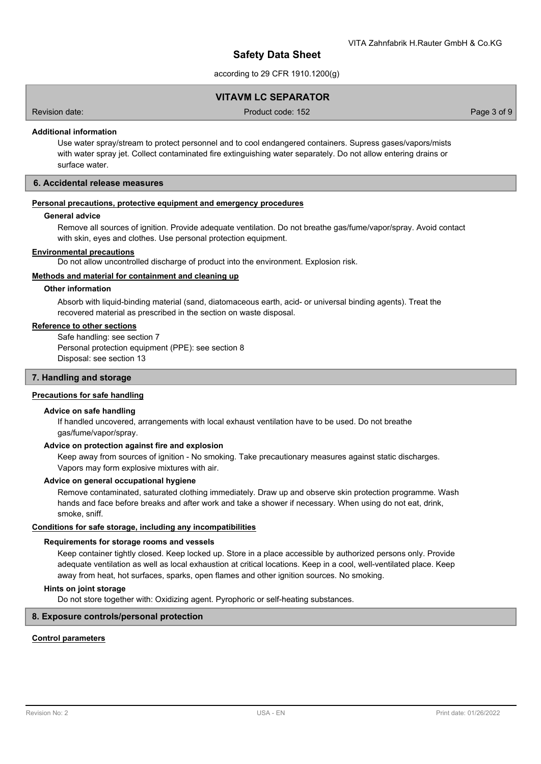according to 29 CFR 1910.1200(g)

### **VITAVM LC SEPARATOR**

Revision date: Product code: 152 Page 3 of 9

### **Additional information**

Use water spray/stream to protect personnel and to cool endangered containers. Supress gases/vapors/mists with water spray jet. Collect contaminated fire extinguishing water separately. Do not allow entering drains or surface water.

#### **6. Accidental release measures**

#### **Personal precautions, protective equipment and emergency procedures**

#### **General advice**

Remove all sources of ignition. Provide adequate ventilation. Do not breathe gas/fume/vapor/spray. Avoid contact with skin, eyes and clothes. Use personal protection equipment.

#### **Environmental precautions**

Do not allow uncontrolled discharge of product into the environment. Explosion risk.

#### **Methods and material for containment and cleaning up**

#### **Other information**

Absorb with liquid-binding material (sand, diatomaceous earth, acid- or universal binding agents). Treat the recovered material as prescribed in the section on waste disposal.

#### **Reference to other sections**

Safe handling: see section 7 Personal protection equipment (PPE): see section 8 Disposal: see section 13

### **7. Handling and storage**

#### **Precautions for safe handling**

### **Advice on safe handling**

If handled uncovered, arrangements with local exhaust ventilation have to be used. Do not breathe gas/fume/vapor/spray.

### **Advice on protection against fire and explosion**

Keep away from sources of ignition - No smoking. Take precautionary measures against static discharges. Vapors may form explosive mixtures with air.

#### **Advice on general occupational hygiene**

Remove contaminated, saturated clothing immediately. Draw up and observe skin protection programme. Wash hands and face before breaks and after work and take a shower if necessary. When using do not eat, drink, smoke, sniff.

#### **Conditions for safe storage, including any incompatibilities**

#### **Requirements for storage rooms and vessels**

Keep container tightly closed. Keep locked up. Store in a place accessible by authorized persons only. Provide adequate ventilation as well as local exhaustion at critical locations. Keep in a cool, well-ventilated place. Keep away from heat, hot surfaces, sparks, open flames and other ignition sources. No smoking.

#### **Hints on joint storage**

Do not store together with: Oxidizing agent. Pyrophoric or self-heating substances.

### **8. Exposure controls/personal protection**

#### **Control parameters**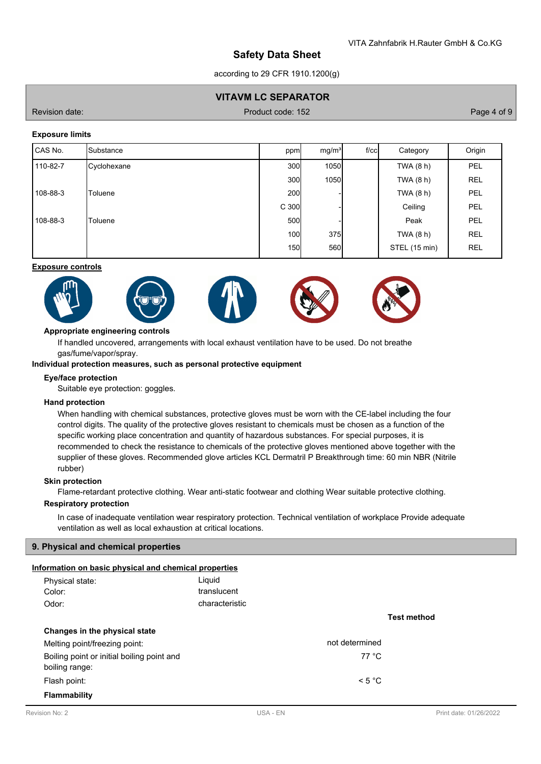according to 29 CFR 1910.1200(g)

### **VITAVM LC SEPARATOR**

Revision date: Product code: 152 Page 4 of 9

### **Exposure limits**

| CAS No.  | Substance   | ppm              | mg/m <sup>3</sup> | $f$ / $c$ c | Category      | Origin     |
|----------|-------------|------------------|-------------------|-------------|---------------|------------|
| 110-82-7 | Cyclohexane | 300              | 1050              |             | TWA (8 h)     | PEL        |
|          |             | 300              | <b>1050</b>       |             | TWA $(8 h)$   | <b>REL</b> |
| 108-88-3 | Toluene     | <b>200</b>       |                   |             | TWA $(8 h)$   | PEL        |
|          |             | C <sub>300</sub> |                   |             | Ceiling       | PEL        |
| 108-88-3 | Toluene     | 500              |                   |             | Peak          | PEL        |
|          |             | 100              | 375               |             | TWA (8 h)     | <b>REL</b> |
|          |             | <b>150</b>       | 560               |             | STEL (15 min) | <b>REL</b> |

### **Exposure controls**











### **Appropriate engineering controls**

If handled uncovered, arrangements with local exhaust ventilation have to be used. Do not breathe gas/fume/vapor/spray.

#### **Individual protection measures, such as personal protective equipment**

#### **Eye/face protection**

Suitable eye protection: goggles.

#### **Hand protection**

When handling with chemical substances, protective gloves must be worn with the CE-label including the four control digits. The quality of the protective gloves resistant to chemicals must be chosen as a function of the specific working place concentration and quantity of hazardous substances. For special purposes, it is recommended to check the resistance to chemicals of the protective gloves mentioned above together with the supplier of these gloves. Recommended glove articles KCL Dermatril P Breakthrough time: 60 min NBR (Nitrile rubber)

#### **Skin protection**

Flame-retardant protective clothing. Wear anti-static footwear and clothing Wear suitable protective clothing.

### **Respiratory protection**

In case of inadequate ventilation wear respiratory protection. Technical ventilation of workplace Provide adequate ventilation as well as local exhaustion at critical locations.

### **9. Physical and chemical properties**

### **Information on basic physical and chemical properties**

| Physical state:                            | Liquid         |                    |
|--------------------------------------------|----------------|--------------------|
| Color:                                     | translucent    |                    |
| Odor:                                      | characteristic |                    |
|                                            |                | <b>Test method</b> |
| Changes in the physical state              |                |                    |
| Melting point/freezing point:              | not determined |                    |
| Boiling point or initial boiling point and | 77 °C          |                    |
| boiling range:                             |                |                    |
| Flash point:                               | < 5 °C         |                    |
|                                            |                |                    |
| <b>Flammability</b>                        |                |                    |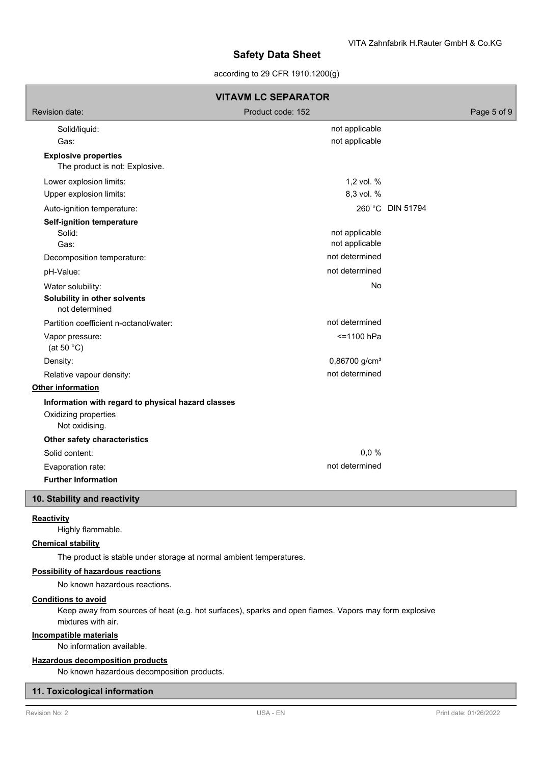### according to 29 CFR 1910.1200(g)

|                                                               | <b>VITAVM LC SEPARATOR</b> |                  |
|---------------------------------------------------------------|----------------------------|------------------|
| Revision date:                                                | Product code: 152          | Page 5 of 9      |
| Solid/liquid:                                                 | not applicable             |                  |
| Gas:                                                          | not applicable             |                  |
| <b>Explosive properties</b><br>The product is not: Explosive. |                            |                  |
| Lower explosion limits:                                       | 1,2 vol. %                 |                  |
| Upper explosion limits:                                       | 8,3 vol. %                 |                  |
| Auto-ignition temperature:                                    |                            | 260 °C DIN 51794 |
| <b>Self-ignition temperature</b>                              |                            |                  |
| Solid:                                                        | not applicable             |                  |
| Gas:                                                          | not applicable             |                  |
| Decomposition temperature:                                    | not determined             |                  |
| pH-Value:                                                     | not determined             |                  |
| Water solubility:                                             | No                         |                  |
| Solubility in other solvents<br>not determined                |                            |                  |
| Partition coefficient n-octanol/water:                        | not determined             |                  |
| Vapor pressure:<br>(at 50 $°C$ )                              | <=1100 hPa                 |                  |
| Density:                                                      | 0,86700 g/cm <sup>3</sup>  |                  |
| Relative vapour density:                                      | not determined             |                  |
| Other information                                             |                            |                  |
| Information with regard to physical hazard classes            |                            |                  |
| Oxidizing properties<br>Not oxidising.                        |                            |                  |
| Other safety characteristics                                  |                            |                  |
| Solid content:                                                | 0,0%                       |                  |
| Evaporation rate:                                             | not determined             |                  |
| <b>Further Information</b>                                    |                            |                  |

#### **Reactivity**

Highly flammable.

### **Chemical stability**

The product is stable under storage at normal ambient temperatures.

#### **Possibility of hazardous reactions**

No known hazardous reactions.

### **Conditions to avoid**

Keep away from sources of heat (e.g. hot surfaces), sparks and open flames. Vapors may form explosive mixtures with air.

## **Incompatible materials**

No information available.

### **Hazardous decomposition products**

No known hazardous decomposition products.

### **11. Toxicological information**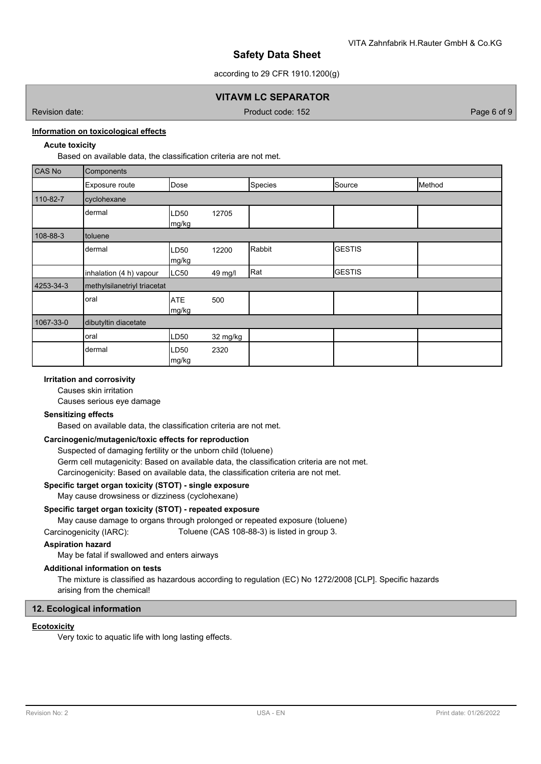according to 29 CFR 1910.1200(g)

### **VITAVM LC SEPARATOR**

Revision date: Product code: 152 Page 6 of 9

## **Information on toxicological effects**

### **Acute toxicity**

Based on available data, the classification criteria are not met.

| CAS No    | Components                  |                           |          |         |               |        |
|-----------|-----------------------------|---------------------------|----------|---------|---------------|--------|
|           | Exposure route              | Dose                      |          | Species | Source        | Method |
| 110-82-7  | cyclohexane                 |                           |          |         |               |        |
|           | dermal                      | LD <sub>50</sub><br>mg/kg | 12705    |         |               |        |
| 108-88-3  | toluene                     |                           |          |         |               |        |
|           | dermal                      | LD <sub>50</sub><br>mg/kg | 12200    | Rabbit  | <b>GESTIS</b> |        |
|           | inhalation (4 h) vapour     | LC50                      | 49 mg/l  | Rat     | <b>GESTIS</b> |        |
| 4253-34-3 | methylsilanetriyl triacetat |                           |          |         |               |        |
|           | oral                        | <b>ATE</b><br>mg/kg       | 500      |         |               |        |
| 1067-33-0 | dibutyltin diacetate        |                           |          |         |               |        |
|           | oral                        | LD <sub>50</sub>          | 32 mg/kg |         |               |        |
|           | dermal                      | LD <sub>50</sub><br>mg/kg | 2320     |         |               |        |

### **Irritation and corrosivity**

Causes skin irritation Causes serious eye damage

### **Sensitizing effects**

Based on available data, the classification criteria are not met.

### **Carcinogenic/mutagenic/toxic effects for reproduction**

Suspected of damaging fertility or the unborn child (toluene) Germ cell mutagenicity: Based on available data, the classification criteria are not met. Carcinogenicity: Based on available data, the classification criteria are not met.

### **Specific target organ toxicity (STOT) - single exposure**

May cause drowsiness or dizziness (cyclohexane)

#### **Specific target organ toxicity (STOT) - repeated exposure**

May cause damage to organs through prolonged or repeated exposure (toluene)

Carcinogenicity (IARC): Toluene (CAS 108-88-3) is listed in group 3.

### **Aspiration hazard**

May be fatal if swallowed and enters airways

### **Additional information on tests**

The mixture is classified as hazardous according to regulation (EC) No 1272/2008 [CLP]. Specific hazards arising from the chemical!

#### **12. Ecological information**

#### **Ecotoxicity**

Very toxic to aquatic life with long lasting effects.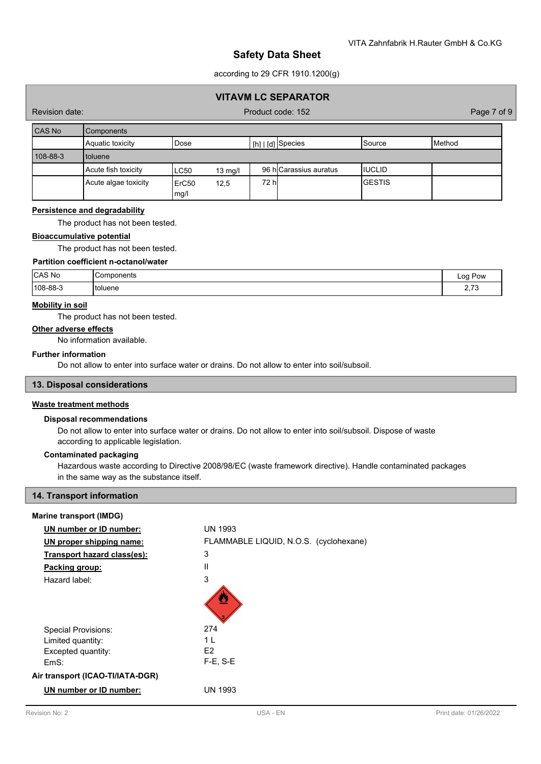according to 29 CFR 1910.1200(g)

### **VITAVM LC SEPARATOR**

Revision date: Product code: 152 Page 7 of 9

| <b>CAS No</b> | <b>Components</b>    |                           |                   |       |                        |         |        |
|---------------|----------------------|---------------------------|-------------------|-------|------------------------|---------|--------|
|               | Aquatic toxicity     | Dose                      |                   |       | [h]   [d] Species      | ISource | Method |
| 108-88-3      | <b>I</b> toluene     |                           |                   |       |                        |         |        |
|               | Acute fish toxicity  | <b>LC50</b>               | $13 \text{ mg/l}$ |       | 96 hlCarassius auratus | IIUCLID |        |
|               | Acute algae toxicity | ErC <sub>50</sub><br>mg/l | 12,5              | 72 hl |                        | IGESTIS |        |

#### **Persistence and degradability**

The product has not been tested.

#### **Bioaccumulative potential**

The product has not been tested.

### **Partition coefficient n-octanol/water**

| CAS No   | IComponents | Pow<br>oc<br>$\cdot$<br>- |
|----------|-------------|---------------------------|
| 108-88-3 | 'toluene    | $\overline{z}$<br>ب, م    |

#### **Mobility in soil**

The product has not been tested.

### **Other adverse effects**

No information available.

#### **Further information**

Do not allow to enter into surface water or drains. Do not allow to enter into soil/subsoil.

### **13. Disposal considerations**

#### **Waste treatment methods**

#### **Disposal recommendations**

Do not allow to enter into surface water or drains. Do not allow to enter into soil/subsoil. Dispose of waste according to applicable legislation.

### **Contaminated packaging**

Hazardous waste according to Directive 2008/98/EC (waste framework directive). Handle contaminated packages in the same way as the substance itself.

### **14. Transport information**

### **Marine transport (IMDG)**

| UN number or ID number:          | <b>UN 1993</b>                         |
|----------------------------------|----------------------------------------|
| UN proper shipping name:         | FLAMMABLE LIQUID, N.O.S. (cyclohexane) |
| Transport hazard class(es):      | 3                                      |
| Packing group:                   | Ш                                      |
| Hazard label:                    | 3                                      |
|                                  | Ø                                      |
| <b>Special Provisions:</b>       | 274                                    |
| Limited quantity:                | 1 I                                    |
| Excepted quantity:               | E <sub>2</sub>                         |
| EmS:                             | $F-E$ , $S-E$                          |
| Air transport (ICAO-TI/IATA-DGR) |                                        |
| UN number or ID number:          | <b>UN 1993</b>                         |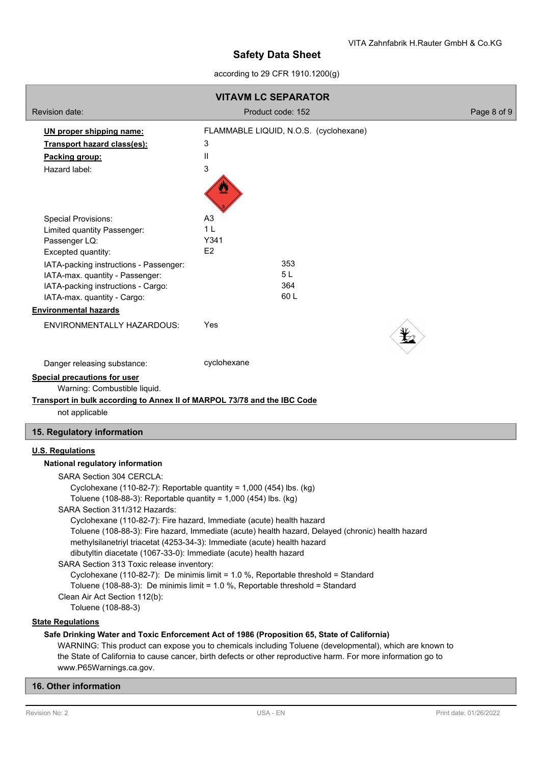according to 29 CFR 1910.1200(g)

| <b>VITAVM LC SEPARATOR</b>                                                                                                                                                                      |                                                                                                                                                                    |             |  |  |  |  |
|-------------------------------------------------------------------------------------------------------------------------------------------------------------------------------------------------|--------------------------------------------------------------------------------------------------------------------------------------------------------------------|-------------|--|--|--|--|
| <b>Revision date:</b>                                                                                                                                                                           | Product code: 152                                                                                                                                                  | Page 8 of 9 |  |  |  |  |
| UN proper shipping name:                                                                                                                                                                        | FLAMMABLE LIQUID, N.O.S. (cyclohexane)                                                                                                                             |             |  |  |  |  |
| Transport hazard class(es):                                                                                                                                                                     | 3                                                                                                                                                                  |             |  |  |  |  |
| Packing group:                                                                                                                                                                                  | $\mathbf{I}$                                                                                                                                                       |             |  |  |  |  |
| Hazard label:                                                                                                                                                                                   | 3                                                                                                                                                                  |             |  |  |  |  |
|                                                                                                                                                                                                 |                                                                                                                                                                    |             |  |  |  |  |
| <b>Special Provisions:</b>                                                                                                                                                                      | A <sub>3</sub>                                                                                                                                                     |             |  |  |  |  |
| Limited quantity Passenger:                                                                                                                                                                     | 1 <sub>L</sub>                                                                                                                                                     |             |  |  |  |  |
| Passenger LQ:                                                                                                                                                                                   | Y341                                                                                                                                                               |             |  |  |  |  |
| Excepted quantity:                                                                                                                                                                              | E2                                                                                                                                                                 |             |  |  |  |  |
| IATA-packing instructions - Passenger:                                                                                                                                                          | 353                                                                                                                                                                |             |  |  |  |  |
| IATA-max. quantity - Passenger:                                                                                                                                                                 | 5L<br>364                                                                                                                                                          |             |  |  |  |  |
| IATA-packing instructions - Cargo:<br>IATA-max. quantity - Cargo:                                                                                                                               | 60L                                                                                                                                                                |             |  |  |  |  |
| <b>Environmental hazards</b>                                                                                                                                                                    |                                                                                                                                                                    |             |  |  |  |  |
|                                                                                                                                                                                                 |                                                                                                                                                                    |             |  |  |  |  |
| ENVIRONMENTALLY HAZARDOUS:                                                                                                                                                                      | Yes                                                                                                                                                                |             |  |  |  |  |
| Danger releasing substance:                                                                                                                                                                     | cyclohexane                                                                                                                                                        |             |  |  |  |  |
| <b>Special precautions for user</b><br>Warning: Combustible liquid.<br>Transport in bulk according to Annex II of MARPOL 73/78 and the IBC Code<br>not applicable<br>15. Regulatory information |                                                                                                                                                                    |             |  |  |  |  |
| <b>U.S. Regulations</b><br>National regulatory information                                                                                                                                      |                                                                                                                                                                    |             |  |  |  |  |
| <b>SARA Section 304 CERCLA:</b>                                                                                                                                                                 |                                                                                                                                                                    |             |  |  |  |  |
|                                                                                                                                                                                                 | Cyclohexane (110-82-7): Reportable quantity = $1,000$ (454) lbs. (kg)                                                                                              |             |  |  |  |  |
| Toluene (108-88-3): Reportable quantity = 1,000 (454) lbs. (kg)                                                                                                                                 |                                                                                                                                                                    |             |  |  |  |  |
| SARA Section 311/312 Hazards:                                                                                                                                                                   |                                                                                                                                                                    |             |  |  |  |  |
|                                                                                                                                                                                                 | Cyclohexane (110-82-7): Fire hazard, Immediate (acute) health hazard                                                                                               |             |  |  |  |  |
|                                                                                                                                                                                                 | Toluene (108-88-3): Fire hazard, Immediate (acute) health hazard, Delayed (chronic) health hazard                                                                  |             |  |  |  |  |
|                                                                                                                                                                                                 | methylsilanetriyl triacetat (4253-34-3): Immediate (acute) health hazard                                                                                           |             |  |  |  |  |
| dibutyltin diacetate (1067-33-0): Immediate (acute) health hazard                                                                                                                               |                                                                                                                                                                    |             |  |  |  |  |
| SARA Section 313 Toxic release inventory:                                                                                                                                                       |                                                                                                                                                                    |             |  |  |  |  |
|                                                                                                                                                                                                 | Cyclohexane (110-82-7): De minimis limit = 1.0 %, Reportable threshold = Standard<br>Toluene (108-88-3): De minimis limit = 1.0 %, Reportable threshold = Standard |             |  |  |  |  |
| Clean Air Act Section 112(b):                                                                                                                                                                   |                                                                                                                                                                    |             |  |  |  |  |
| Toluene (108-88-3)                                                                                                                                                                              |                                                                                                                                                                    |             |  |  |  |  |
| <b>State Regulations</b>                                                                                                                                                                        |                                                                                                                                                                    |             |  |  |  |  |
|                                                                                                                                                                                                 | Safe Drinking Water and Toxic Enforcement Act of 1986 (Proposition 65, State of California)                                                                        |             |  |  |  |  |
|                                                                                                                                                                                                 | WARNING: This product can expose you to chemicals including Toluene (developmental), which are known to                                                            |             |  |  |  |  |
| the State of California to cause cancer, birth defects or other reproductive harm. For more information go to                                                                                   |                                                                                                                                                                    |             |  |  |  |  |
| www.P65Warnings.ca.gov.                                                                                                                                                                         |                                                                                                                                                                    |             |  |  |  |  |

## **16. Other information**